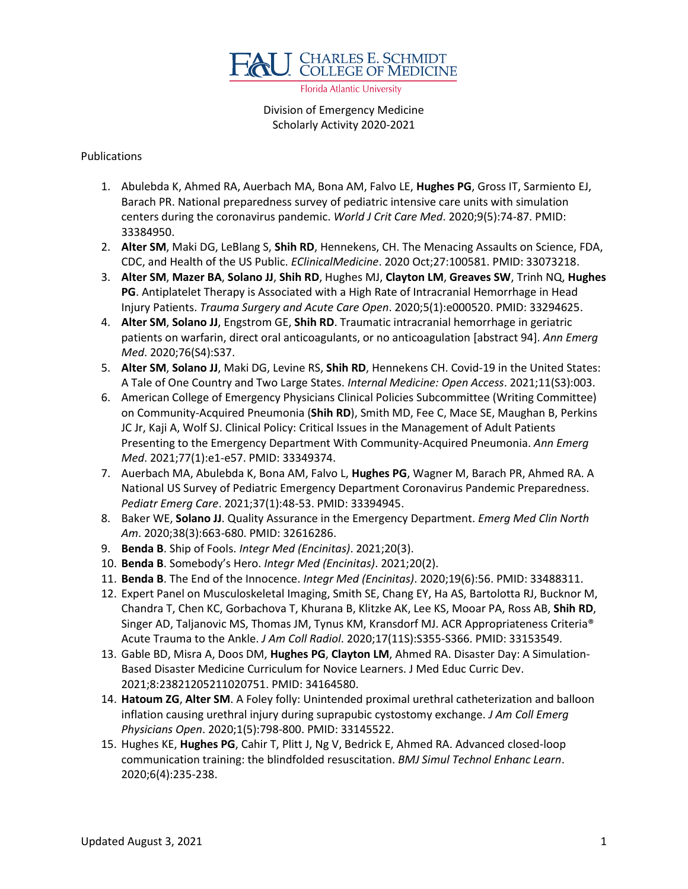

Florida Atlantic University

Division of Emergency Medicine Scholarly Activity 2020-2021

## Publications

- 1. Abulebda K, Ahmed RA, Auerbach MA, Bona AM, Falvo LE, **Hughes PG**, Gross IT, Sarmiento EJ, Barach PR. National preparedness survey of pediatric intensive care units with simulation centers during the coronavirus pandemic. *World J Crit Care Med*. 2020;9(5):74-87. PMID: 33384950.
- 2. **Alter SM**, Maki DG, LeBlang S, **Shih RD**, Hennekens, CH. The Menacing Assaults on Science, FDA, CDC, and Health of the US Public. *EClinicalMedicine*. 2020 Oct;27:100581. PMID: 33073218.
- 3. **Alter SM**, **Mazer BA**, **Solano JJ**, **Shih RD**, Hughes MJ, **Clayton LM**, **Greaves SW**, Trinh NQ, **Hughes PG**. Antiplatelet Therapy is Associated with a High Rate of Intracranial Hemorrhage in Head Injury Patients. *Trauma Surgery and Acute Care Open*. 2020;5(1):e000520. PMID: 33294625.
- 4. **Alter SM**, **Solano JJ**, Engstrom GE, **Shih RD**. Traumatic intracranial hemorrhage in geriatric patients on warfarin, direct oral anticoagulants, or no anticoagulation [abstract 94]. *Ann Emerg Med*. 2020;76(S4):S37.
- 5. **Alter SM**, **Solano JJ**, Maki DG, Levine RS, **Shih RD**, Hennekens CH. Covid-19 in the United States: A Tale of One Country and Two Large States. *Internal Medicine: Open Access*. 2021;11(S3):003.
- 6. American College of Emergency Physicians Clinical Policies Subcommittee (Writing Committee) on Community-Acquired Pneumonia (**Shih RD**), Smith MD, Fee C, Mace SE, Maughan B, Perkins JC Jr, Kaji A, Wolf SJ. Clinical Policy: Critical Issues in the Management of Adult Patients Presenting to the Emergency Department With Community-Acquired Pneumonia. *Ann Emerg Med*. 2021;77(1):e1-e57. PMID: 33349374.
- 7. Auerbach MA, Abulebda K, Bona AM, Falvo L, **Hughes PG**, Wagner M, Barach PR, Ahmed RA. A National US Survey of Pediatric Emergency Department Coronavirus Pandemic Preparedness. *Pediatr Emerg Care*. 2021;37(1):48-53. PMID: 33394945.
- 8. Baker WE, **Solano JJ**. Quality Assurance in the Emergency Department. *Emerg Med Clin North Am*. 2020;38(3):663-680. PMID: 32616286.
- 9. **Benda B**. Ship of Fools. *Integr Med (Encinitas)*. 2021;20(3).
- 10. **Benda B**. Somebody's Hero. *Integr Med (Encinitas)*. 2021;20(2).
- 11. **Benda B**. The End of the Innocence. *Integr Med (Encinitas)*. 2020;19(6):56. PMID: 33488311.
- 12. Expert Panel on Musculoskeletal Imaging, Smith SE, Chang EY, Ha AS, Bartolotta RJ, Bucknor M, Chandra T, Chen KC, Gorbachova T, Khurana B, Klitzke AK, Lee KS, Mooar PA, Ross AB, **Shih RD**, Singer AD, Taljanovic MS, Thomas JM, Tynus KM, Kransdorf MJ. ACR Appropriateness Criteria® Acute Trauma to the Ankle. *J Am Coll Radiol*. 2020;17(11S):S355-S366. PMID: 33153549.
- 13. Gable BD, Misra A, Doos DM, **Hughes PG**, **Clayton LM**, Ahmed RA. Disaster Day: A Simulation-Based Disaster Medicine Curriculum for Novice Learners. J Med Educ Curric Dev. 2021;8:23821205211020751. PMID: 34164580.
- 14. **Hatoum ZG**, **Alter SM**. A Foley folly: Unintended proximal urethral catheterization and balloon inflation causing urethral injury during suprapubic cystostomy exchange. *J Am Coll Emerg Physicians Open*. 2020;1(5):798-800. PMID: 33145522.
- 15. Hughes KE, **Hughes PG**, Cahir T, Plitt J, Ng V, Bedrick E, Ahmed RA. Advanced closed-loop communication training: the blindfolded resuscitation. *BMJ Simul Technol Enhanc Learn*. 2020;6(4):235-238.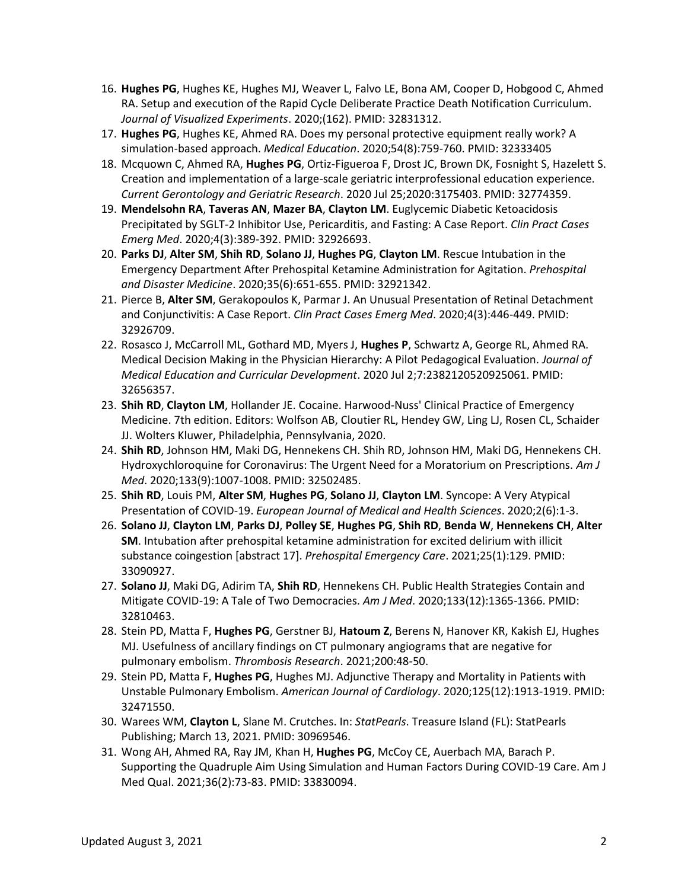- 16. **Hughes PG**, Hughes KE, Hughes MJ, Weaver L, Falvo LE, Bona AM, Cooper D, Hobgood C, Ahmed RA. Setup and execution of the Rapid Cycle Deliberate Practice Death Notification Curriculum. *Journal of Visualized Experiments*. 2020;(162). PMID: 32831312.
- 17. **Hughes PG**, Hughes KE, Ahmed RA. Does my personal protective equipment really work? A simulation-based approach. *Medical Education*. 2020;54(8):759-760. PMID: 32333405
- 18. Mcquown C, Ahmed RA, **Hughes PG**, Ortiz-Figueroa F, Drost JC, Brown DK, Fosnight S, Hazelett S. Creation and implementation of a large-scale geriatric interprofessional education experience. *Current Gerontology and Geriatric Research*. 2020 Jul 25;2020:3175403. PMID: 32774359.
- 19. **Mendelsohn RA**, **Taveras AN**, **Mazer BA**, **Clayton LM**. Euglycemic Diabetic Ketoacidosis Precipitated by SGLT-2 Inhibitor Use, Pericarditis, and Fasting: A Case Report. *Clin Pract Cases Emerg Med*. 2020;4(3):389-392. PMID: 32926693.
- 20. **Parks DJ**, **Alter SM**, **Shih RD**, **Solano JJ**, **Hughes PG**, **Clayton LM**. Rescue Intubation in the Emergency Department After Prehospital Ketamine Administration for Agitation. *Prehospital and Disaster Medicine*. 2020;35(6):651-655. PMID: 32921342.
- 21. Pierce B, **Alter SM**, Gerakopoulos K, Parmar J. An Unusual Presentation of Retinal Detachment and Conjunctivitis: A Case Report. *Clin Pract Cases Emerg Med*. 2020;4(3):446-449. PMID: 32926709.
- 22. Rosasco J, McCarroll ML, Gothard MD, Myers J, **Hughes P**, Schwartz A, George RL, Ahmed RA. Medical Decision Making in the Physician Hierarchy: A Pilot Pedagogical Evaluation. *Journal of Medical Education and Curricular Development*. 2020 Jul 2;7:2382120520925061. PMID: 32656357.
- 23. **Shih RD**, **Clayton LM**, Hollander JE. Cocaine. Harwood-Nuss' Clinical Practice of Emergency Medicine. 7th edition. Editors: Wolfson AB, Cloutier RL, Hendey GW, Ling LJ, Rosen CL, Schaider JJ. Wolters Kluwer, Philadelphia, Pennsylvania, 2020.
- 24. **Shih RD**, Johnson HM, Maki DG, Hennekens CH. Shih RD, Johnson HM, Maki DG, Hennekens CH. Hydroxychloroquine for Coronavirus: The Urgent Need for a Moratorium on Prescriptions. *Am J Med*. 2020;133(9):1007-1008. PMID: 32502485.
- 25. **Shih RD**, Louis PM, **Alter SM**, **Hughes PG**, **Solano JJ**, **Clayton LM**. Syncope: A Very Atypical Presentation of COVID-19. *European Journal of Medical and Health Sciences*. 2020;2(6):1-3.
- 26. **Solano JJ**, **Clayton LM**, **Parks DJ**, **Polley SE**, **Hughes PG**, **Shih RD**, **Benda W**, **Hennekens CH**, **Alter SM**. Intubation after prehospital ketamine administration for excited delirium with illicit substance coingestion [abstract 17]. *Prehospital Emergency Care*. 2021;25(1):129. PMID: 33090927.
- 27. **Solano JJ**, Maki DG, Adirim TA, **Shih RD**, Hennekens CH. Public Health Strategies Contain and Mitigate COVID-19: A Tale of Two Democracies. *Am J Med*. 2020;133(12):1365-1366. PMID: 32810463.
- 28. Stein PD, Matta F, **Hughes PG**, Gerstner BJ, **Hatoum Z**, Berens N, Hanover KR, Kakish EJ, Hughes MJ. Usefulness of ancillary findings on CT pulmonary angiograms that are negative for pulmonary embolism. *Thrombosis Research*. 2021;200:48-50.
- 29. Stein PD, Matta F, **Hughes PG**, Hughes MJ. Adjunctive Therapy and Mortality in Patients with Unstable Pulmonary Embolism. *American Journal of Cardiology*. 2020;125(12):1913‐1919. PMID: 32471550.
- 30. Warees WM, **Clayton L**, Slane M. Crutches. In: *StatPearls*. Treasure Island (FL): StatPearls Publishing; March 13, 2021. PMID: 30969546.
- 31. Wong AH, Ahmed RA, Ray JM, Khan H, **Hughes PG**, McCoy CE, Auerbach MA, Barach P. Supporting the Quadruple Aim Using Simulation and Human Factors During COVID-19 Care. Am J Med Qual. 2021;36(2):73-83. PMID: 33830094.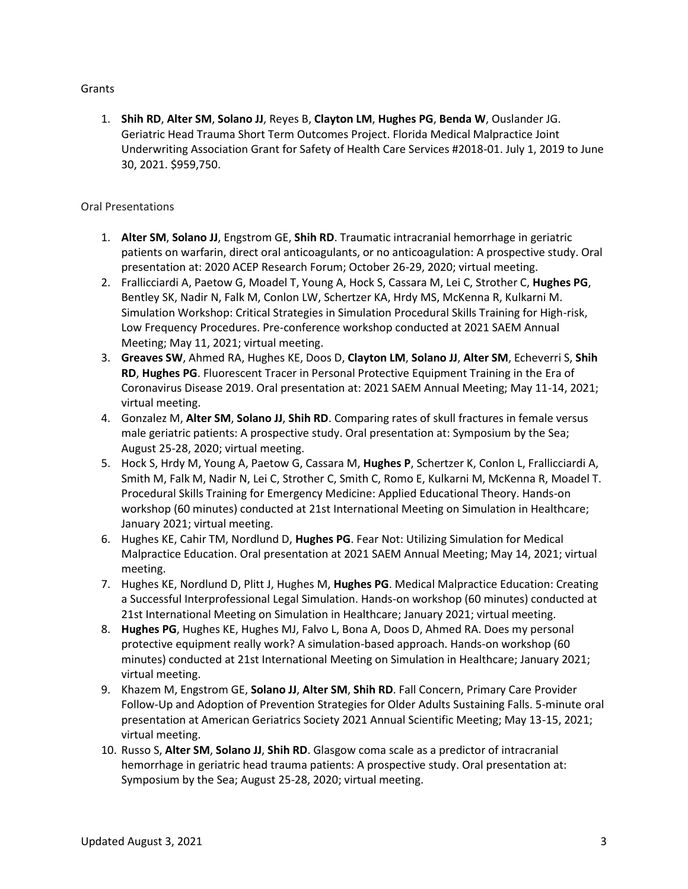## Grants

1. **Shih RD**, **Alter SM**, **Solano JJ**, Reyes B, **Clayton LM**, **Hughes PG**, **Benda W**, Ouslander JG. Geriatric Head Trauma Short Term Outcomes Project. Florida Medical Malpractice Joint Underwriting Association Grant for Safety of Health Care Services #2018-01. July 1, 2019 to June 30, 2021. \$959,750.

## Oral Presentations

- 1. **Alter SM**, **Solano JJ**, Engstrom GE, **Shih RD**. Traumatic intracranial hemorrhage in geriatric patients on warfarin, direct oral anticoagulants, or no anticoagulation: A prospective study. Oral presentation at: 2020 ACEP Research Forum; October 26-29, 2020; virtual meeting.
- 2. Frallicciardi A, Paetow G, Moadel T, Young A, Hock S, Cassara M, Lei C, Strother C, **Hughes PG**, Bentley SK, Nadir N, Falk M, Conlon LW, Schertzer KA, Hrdy MS, McKenna R, Kulkarni M. Simulation Workshop: Critical Strategies in Simulation Procedural Skills Training for High-risk, Low Frequency Procedures. Pre-conference workshop conducted at 2021 SAEM Annual Meeting; May 11, 2021; virtual meeting.
- 3. **Greaves SW**, Ahmed RA, Hughes KE, Doos D, **Clayton LM**, **Solano JJ**, **Alter SM**, Echeverri S, **Shih RD**, **Hughes PG**. Fluorescent Tracer in Personal Protective Equipment Training in the Era of Coronavirus Disease 2019. Oral presentation at: 2021 SAEM Annual Meeting; May 11-14, 2021; virtual meeting.
- 4. Gonzalez M, **Alter SM**, **Solano JJ**, **Shih RD**. Comparing rates of skull fractures in female versus male geriatric patients: A prospective study. Oral presentation at: Symposium by the Sea; August 25-28, 2020; virtual meeting.
- 5. Hock S, Hrdy M, Young A, Paetow G, Cassara M, **Hughes P**, Schertzer K, Conlon L, Frallicciardi A, Smith M, Falk M, Nadir N, Lei C, Strother C, Smith C, Romo E, Kulkarni M, McKenna R, Moadel T. Procedural Skills Training for Emergency Medicine: Applied Educational Theory. Hands-on workshop (60 minutes) conducted at 21st International Meeting on Simulation in Healthcare; January 2021; virtual meeting.
- 6. Hughes KE, Cahir TM, Nordlund D, **Hughes PG**. Fear Not: Utilizing Simulation for Medical Malpractice Education. Oral presentation at 2021 SAEM Annual Meeting; May 14, 2021; virtual meeting.
- 7. Hughes KE, Nordlund D, Plitt J, Hughes M, **Hughes PG**. Medical Malpractice Education: Creating a Successful Interprofessional Legal Simulation. Hands-on workshop (60 minutes) conducted at 21st International Meeting on Simulation in Healthcare; January 2021; virtual meeting.
- 8. **Hughes PG**, Hughes KE, Hughes MJ, Falvo L, Bona A, Doos D, Ahmed RA. Does my personal protective equipment really work? A simulation-based approach. Hands-on workshop (60 minutes) conducted at 21st International Meeting on Simulation in Healthcare; January 2021; virtual meeting.
- 9. Khazem M, Engstrom GE, **Solano JJ**, **Alter SM**, **Shih RD**. Fall Concern, Primary Care Provider Follow-Up and Adoption of Prevention Strategies for Older Adults Sustaining Falls. 5-minute oral presentation at American Geriatrics Society 2021 Annual Scientific Meeting; May 13-15, 2021; virtual meeting.
- 10. Russo S, **Alter SM**, **Solano JJ**, **Shih RD**. Glasgow coma scale as a predictor of intracranial hemorrhage in geriatric head trauma patients: A prospective study. Oral presentation at: Symposium by the Sea; August 25-28, 2020; virtual meeting.